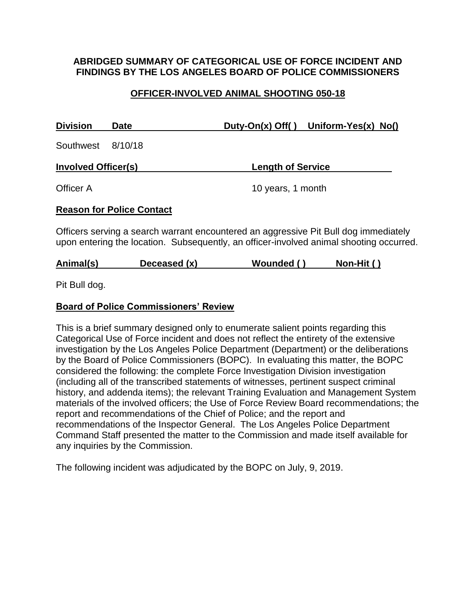#### **ABRIDGED SUMMARY OF CATEGORICAL USE OF FORCE INCIDENT AND FINDINGS BY THE LOS ANGELES BOARD OF POLICE COMMISSIONERS**

# **OFFICER-INVOLVED ANIMAL SHOOTING 050-18**

| <b>Division</b>            | <b>Date</b> | Duty-On(x) Off() Uniform-Yes(x) $No()$ |
|----------------------------|-------------|----------------------------------------|
| Southwest 8/10/18          |             |                                        |
| <b>Involved Officer(s)</b> |             | <b>Length of Service</b>               |
| Officer A                  |             | 10 years, 1 month                      |

#### **Reason for Police Contact**

Officers serving a search warrant encountered an aggressive Pit Bull dog immediately upon entering the location. Subsequently, an officer-involved animal shooting occurred.

Pit Bull dog.

#### **Board of Police Commissioners' Review**

This is a brief summary designed only to enumerate salient points regarding this Categorical Use of Force incident and does not reflect the entirety of the extensive investigation by the Los Angeles Police Department (Department) or the deliberations by the Board of Police Commissioners (BOPC). In evaluating this matter, the BOPC considered the following: the complete Force Investigation Division investigation (including all of the transcribed statements of witnesses, pertinent suspect criminal history, and addenda items); the relevant Training Evaluation and Management System materials of the involved officers; the Use of Force Review Board recommendations; the report and recommendations of the Chief of Police; and the report and recommendations of the Inspector General. The Los Angeles Police Department Command Staff presented the matter to the Commission and made itself available for any inquiries by the Commission.

The following incident was adjudicated by the BOPC on July, 9, 2019.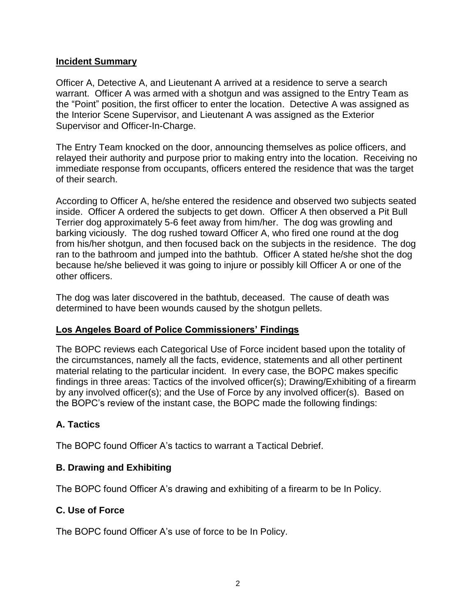#### **Incident Summary**

Officer A, Detective A, and Lieutenant A arrived at a residence to serve a search warrant. Officer A was armed with a shotgun and was assigned to the Entry Team as the "Point" position, the first officer to enter the location. Detective A was assigned as the Interior Scene Supervisor, and Lieutenant A was assigned as the Exterior Supervisor and Officer-In-Charge.

The Entry Team knocked on the door, announcing themselves as police officers, and relayed their authority and purpose prior to making entry into the location. Receiving no immediate response from occupants, officers entered the residence that was the target of their search.

According to Officer A, he/she entered the residence and observed two subjects seated inside. Officer A ordered the subjects to get down. Officer A then observed a Pit Bull Terrier dog approximately 5-6 feet away from him/her. The dog was growling and barking viciously. The dog rushed toward Officer A, who fired one round at the dog from his/her shotgun, and then focused back on the subjects in the residence. The dog ran to the bathroom and jumped into the bathtub. Officer A stated he/she shot the dog because he/she believed it was going to injure or possibly kill Officer A or one of the other officers.

The dog was later discovered in the bathtub, deceased. The cause of death was determined to have been wounds caused by the shotgun pellets.

# **Los Angeles Board of Police Commissioners' Findings**

The BOPC reviews each Categorical Use of Force incident based upon the totality of the circumstances, namely all the facts, evidence, statements and all other pertinent material relating to the particular incident. In every case, the BOPC makes specific findings in three areas: Tactics of the involved officer(s); Drawing/Exhibiting of a firearm by any involved officer(s); and the Use of Force by any involved officer(s). Based on the BOPC's review of the instant case, the BOPC made the following findings:

# **A. Tactics**

The BOPC found Officer A's tactics to warrant a Tactical Debrief.

# **B. Drawing and Exhibiting**

The BOPC found Officer A's drawing and exhibiting of a firearm to be In Policy.

# **C. Use of Force**

The BOPC found Officer A's use of force to be In Policy.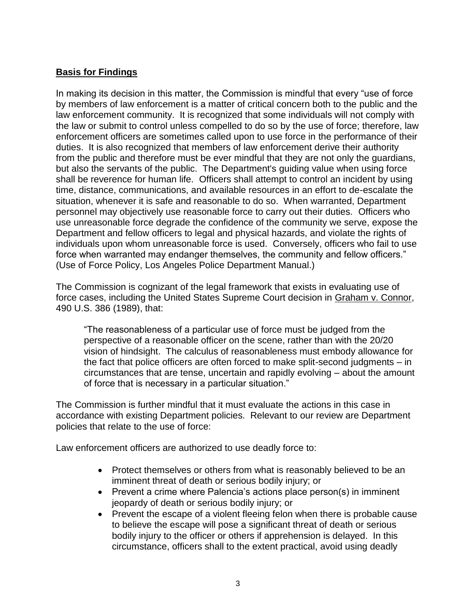# **Basis for Findings**

In making its decision in this matter, the Commission is mindful that every "use of force by members of law enforcement is a matter of critical concern both to the public and the law enforcement community. It is recognized that some individuals will not comply with the law or submit to control unless compelled to do so by the use of force; therefore, law enforcement officers are sometimes called upon to use force in the performance of their duties. It is also recognized that members of law enforcement derive their authority from the public and therefore must be ever mindful that they are not only the guardians, but also the servants of the public. The Department's guiding value when using force shall be reverence for human life. Officers shall attempt to control an incident by using time, distance, communications, and available resources in an effort to de-escalate the situation, whenever it is safe and reasonable to do so. When warranted, Department personnel may objectively use reasonable force to carry out their duties. Officers who use unreasonable force degrade the confidence of the community we serve, expose the Department and fellow officers to legal and physical hazards, and violate the rights of individuals upon whom unreasonable force is used. Conversely, officers who fail to use force when warranted may endanger themselves, the community and fellow officers." (Use of Force Policy, Los Angeles Police Department Manual.)

The Commission is cognizant of the legal framework that exists in evaluating use of force cases, including the United States Supreme Court decision in Graham v. Connor, 490 U.S. 386 (1989), that:

"The reasonableness of a particular use of force must be judged from the perspective of a reasonable officer on the scene, rather than with the 20/20 vision of hindsight. The calculus of reasonableness must embody allowance for the fact that police officers are often forced to make split-second judgments – in circumstances that are tense, uncertain and rapidly evolving – about the amount of force that is necessary in a particular situation."

The Commission is further mindful that it must evaluate the actions in this case in accordance with existing Department policies. Relevant to our review are Department policies that relate to the use of force:

Law enforcement officers are authorized to use deadly force to:

- Protect themselves or others from what is reasonably believed to be an imminent threat of death or serious bodily injury; or
- Prevent a crime where Palencia's actions place person(s) in imminent jeopardy of death or serious bodily injury; or
- Prevent the escape of a violent fleeing felon when there is probable cause to believe the escape will pose a significant threat of death or serious bodily injury to the officer or others if apprehension is delayed. In this circumstance, officers shall to the extent practical, avoid using deadly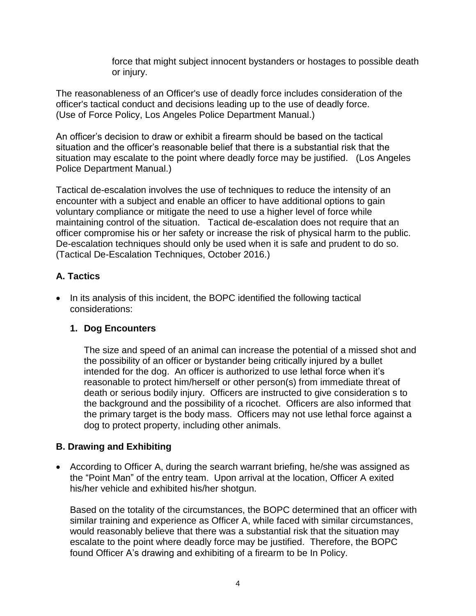force that might subject innocent bystanders or hostages to possible death or injury.

The reasonableness of an Officer's use of deadly force includes consideration of the officer's tactical conduct and decisions leading up to the use of deadly force. (Use of Force Policy, Los Angeles Police Department Manual.)

An officer's decision to draw or exhibit a firearm should be based on the tactical situation and the officer's reasonable belief that there is a substantial risk that the situation may escalate to the point where deadly force may be justified. (Los Angeles Police Department Manual.)

Tactical de-escalation involves the use of techniques to reduce the intensity of an encounter with a subject and enable an officer to have additional options to gain voluntary compliance or mitigate the need to use a higher level of force while maintaining control of the situation. Tactical de-escalation does not require that an officer compromise his or her safety or increase the risk of physical harm to the public. De-escalation techniques should only be used when it is safe and prudent to do so. (Tactical De-Escalation Techniques, October 2016.)

# **A. Tactics**

• In its analysis of this incident, the BOPC identified the following tactical considerations:

# **1. Dog Encounters**

The size and speed of an animal can increase the potential of a missed shot and the possibility of an officer or bystander being critically injured by a bullet intended for the dog. An officer is authorized to use lethal force when it's reasonable to protect him/herself or other person(s) from immediate threat of death or serious bodily injury. Officers are instructed to give consideration s to the background and the possibility of a ricochet. Officers are also informed that the primary target is the body mass. Officers may not use lethal force against a dog to protect property, including other animals.

# **B. Drawing and Exhibiting**

• According to Officer A, during the search warrant briefing, he/she was assigned as the "Point Man" of the entry team. Upon arrival at the location, Officer A exited his/her vehicle and exhibited his/her shotgun.

Based on the totality of the circumstances, the BOPC determined that an officer with similar training and experience as Officer A, while faced with similar circumstances, would reasonably believe that there was a substantial risk that the situation may escalate to the point where deadly force may be justified. Therefore, the BOPC found Officer A's drawing and exhibiting of a firearm to be In Policy.